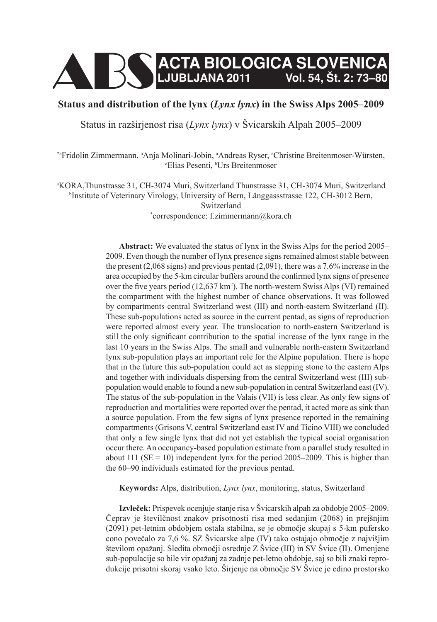

# **Status and distribution of the lynx (***Lynx lynx***) in the Swiss Alps 2005–2009**

Status in razširjenost risa (*Lynx lynx*) v Švicarskih Alpah 2005–2009

<sup>\*</sup>aFridolin Zimmermann, <sup>a</sup>Anja Molinari-Jobin, <sup>a</sup>Andreas Ryser, <sup>a</sup>Christine Breitenmoser-Würsten, <sup>a</sup>Elias Pesenti <sup>b</sup>Urs Breitenmoser Elias Pesenti, <sup>b</sup>Urs Breitenmoser

a KORA,Thunstrasse 31, CH-3074 Muri, Switzerland Thunstrasse 31, CH-3074 Muri, Switzerland b Institute of Veterinary Virology, University of Bern, Länggassstrasse 122, CH-3012 Bern, Switzerland \* correspondence: f.zimmermann@kora.ch

> **Abstract:** We evaluated the status of lynx in the Swiss Alps for the period 2005– 2009. Even though the number of lynx presence signs remained almost stable between the present (2,068 signs) and previous pentad (2,091), there was a 7.6% increase in the area occupied by the 5-km circular buffers around the confirmed lynx signs of presence over the five years period  $(12{,}637 \text{ km}^2)$ . The north-western Swiss Alps (VI) remained the compartment with the highest number of chance observations. It was followed by compartments central Switzerland west (III) and north-eastern Switzerland (II). These sub-populations acted as source in the current pentad, as signs of reproduction were reported almost every year. The translocation to north-eastern Switzerland is still the only significant contribution to the spatial increase of the lynx range in the last 10 years in the Swiss Alps. The small and vulnerable north-eastern Switzerland lynx sub-population plays an important role for the Alpine population. There is hope that in the future this sub-population could act as stepping stone to the eastern Alps and together with individuals dispersing from the central Switzerland west (III) subpopulation would enable to found a new sub-population in central Switzerland east (IV). The status of the sub-population in the Valais (VII) is less clear. As only few signs of reproduction and mortalities were reported over the pentad, it acted more as sink than a source population. From the few signs of lynx presence reported in the remaining compartments (Grisons V, central Switzerland east IV and Ticino VIII) we concluded that only a few single lynx that did not yet establish the typical social organisation occur there. An occupancy-based population estimate from a parallel study resulted in about 111 ( $SE = 10$ ) independent lynx for the period 2005–2009. This is higher than the 60–90 individuals estimated for the previous pentad.

**Keywords:** Alps, distribution, *Lynx lynx*, monitoring, status, Switzerland

**Izvleček:** Prispevek ocenjuje stanje risa v Švicarskih alpah za obdobje 2005–2009. Čeprav je številčnost znakov prisotnosti risa med sedanjim (2068) in prejšnjim (2091) pet-letnim obdobjem ostala stabilna, se je območje skupaj s 5-km pufersko cono povečalo za 7,6 %. SZ Švicarske alpe (IV) tako ostajajo območje z najvišjim številom opažanj. Sledita območji osrednje Z Švice (III) in SV Švice (II). Omenjene sub-populacije so bile vir opažanj za zadnje pet-letno obdobje, saj so bili znaki reprodukcije prisotni skoraj vsako leto. Širjenje na območje SV Švice je edino prostorsko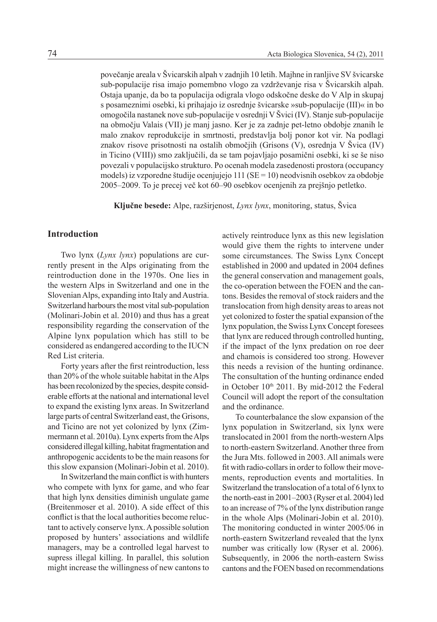povečanje areala v Švicarskih alpah v zadnjih 10 letih. Majhne in ranljive SV švicarske sub-populacije risa imajo pomembno vlogo za vzdrževanje risa v Švicarskih alpah. Ostaja upanje, da bo ta populacija odigrala vlogo odskočne deske do V Alp in skupaj s posameznimi osebki, ki prihajajo iz osrednje švicarske »sub-populacije (III)« in bo omogočila nastanek nove sub-populacije v osrednji V Švici (IV). Stanje sub-populacije na območju Valais (VII) je manj jasno. Ker je za zadnje pet-letno obdobje znanih le malo znakov reprodukcije in smrtnosti, predstavlja bolj ponor kot vir. Na podlagi znakov risove prisotnosti na ostalih območjih (Grisons (V), osrednja V Švica (IV) in Ticino (VIII)) smo zaključili, da se tam pojavljajo posamični osebki, ki se še niso povezali v populacijsko strukturo. Po ocenah modela zasedenosti prostora (occupancy models) iz vzporedne študije ocenjujejo 111 (SE = 10) neodvisnih osebkov za obdobje 2005–2009. To je precej več kot 60–90 osebkov ocenjenih za prejšnjo petletko.

**Ključne besede:** Alpe, razširjenost, *Lynx lynx*, monitoring, status, Švica

# **Introduction**

Two lynx (*Lynx lynx*) populations are currently present in the Alps originating from the reintroduction done in the 1970s. One lies in the western Alps in Switzerland and one in the Slovenian Alps, expanding into Italy and Austria. Switzerland harbours the most vital sub-population (Molinari-Jobin et al. 2010) and thus has a great responsibility regarding the conservation of the Alpine lynx population which has still to be considered as endangered according to the IUCN Red List criteria.

Forty years after the first reintroduction, less than 20% of the whole suitable habitat in the Alps has been recolonized by the species, despite considerable efforts at the national and international level to expand the existing lynx areas. In Switzerland large parts of central Switzerland east, the Grisons, and Ticino are not yet colonized by lynx (Zimmermann et al. 2010a). Lynx experts from the Alps considered illegal killing, habitat fragmentation and anthropogenic accidents to be the main reasons for this slow expansion (Molinari-Jobin et al. 2010).

In Switzerland the main conflict is with hunters who compete with lynx for game, and who fear that high lynx densities diminish ungulate game (Breitenmoser et al. 2010). A side effect of this conflict is that the local authorities become reluctant to actively conserve lynx. A possible solution proposed by hunters' associations and wildlife managers, may be a controlled legal harvest to supress illegal killing. In parallel, this solution might increase the willingness of new cantons to actively reintroduce lynx as this new legislation would give them the rights to intervene under some circumstances. The Swiss Lynx Concept established in 2000 and updated in 2004 defines the general conservation and management goals, the co-operation between the FOEN and the cantons. Besides the removal of stock raiders and the translocation from high density areas to areas not yet colonized to foster the spatial expansion of the lynx population, the Swiss Lynx Concept foresees that lynx are reduced through controlled hunting, if the impact of the lynx predation on roe deer and chamois is considered too strong. However this needs a revision of the hunting ordinance. The consultation of the hunting ordinance ended in October  $10<sup>th</sup> 2011$ . By mid-2012 the Federal Council will adopt the report of the consultation and the ordinance.

To counterbalance the slow expansion of the lynx population in Switzerland, six lynx were translocated in 2001 from the north-western Alps to north-eastern Switzerland. Another three from the Jura Mts. followed in 2003. All animals were fit with radio-collars in order to follow their movements, reproduction events and mortalities. In Switzerland the translocation of a total of 6 lynx to the north-east in 2001–2003 (Ryser et al. 2004) led to an increase of 7% of the lynx distribution range in the whole Alps (Molinari-Jobin et al. 2010). The monitoring conducted in winter 2005/06 in north-eastern Switzerland revealed that the lynx number was critically low (Ryser et al. 2006). Subsequently, in 2006 the north-eastern Swiss cantons and the FOEN based on recommendations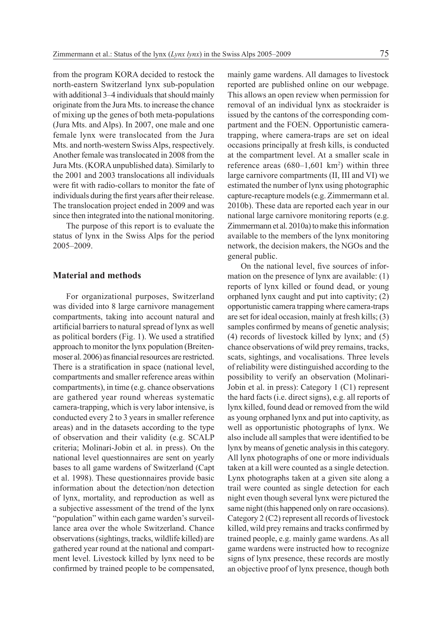from the program KORA decided to restock the north-eastern Switzerland lynx sub-population with additional 3–4 individuals that should mainly originate from the Jura Mts. to increase the chance of mixing up the genes of both meta-populations (Jura Mts. and Alps). In 2007, one male and one female lynx were translocated from the Jura Mts. and north-western Swiss Alps, respectively. Another female was translocated in 2008 from the Jura Mts. (KORA unpublished data). Similarly to the 2001 and 2003 translocations all individuals were fit with radio-collars to monitor the fate of individuals during the first years after their release. The translocation project ended in 2009 and was since then integrated into the national monitoring.

The purpose of this report is to evaluate the status of lynx in the Swiss Alps for the period 2005–2009.

# **Material and methods**

For organizational purposes, Switzerland was divided into 8 large carnivore management compartments, taking into account natural and artificial barriers to natural spread of lynx as well as political borders (Fig. 1). We used a stratified approach to monitor the lynx population (Breitenmoser al. 2006) as financial resources are restricted. There is a stratification in space (national level, compartments and smaller reference areas within compartments), in time (e.g. chance observations are gathered year round whereas systematic camera-trapping, which is very labor intensive, is conducted every 2 to 3 years in smaller reference areas) and in the datasets according to the type of observation and their validity (e.g. SCALP criteria; Molinari-Jobin et al. in press). On the national level questionnaires are sent on yearly bases to all game wardens of Switzerland (Capt et al. 1998). These questionnaires provide basic information about the detection/non detection of lynx, mortality, and reproduction as well as a subjective assessment of the trend of the lynx "population" within each game warden's surveillance area over the whole Switzerland. Chance observations (sightings, tracks, wildlife killed) are gathered year round at the national and compartment level. Livestock killed by lynx need to be confirmed by trained people to be compensated,

mainly game wardens. All damages to livestock reported are published online on our webpage. This allows an open review when permission for removal of an individual lynx as stockraider is issued by the cantons of the corresponding compartment and the FOEN. Opportunistic cameratrapping, where camera-traps are set on ideal occasions principally at fresh kills, is conducted at the compartment level. At a smaller scale in reference areas  $(680-1,601 \text{ km}^2)$  within three large carnivore compartments (II, III and VI) we estimated the number of lynx using photographic capture-recapture models (e.g. Zimmermann et al. 2010b). These data are reported each year in our national large carnivore monitoring reports (e.g. Zimmermann et al. 2010a) to make this information available to the members of the lynx monitoring network, the decision makers, the NGOs and the general public.

On the national level, five sources of information on the presence of lynx are available: (1) reports of lynx killed or found dead, or young orphaned lynx caught and put into captivity; (2) opportunistic camera trapping where camera-traps are set for ideal occasion, mainly at fresh kills; (3) samples confirmed by means of genetic analysis; (4) records of livestock killed by lynx; and (5) chance observations of wild prey remains, tracks, scats, sightings, and vocalisations. Three levels of reliability were distinguished according to the possibility to verify an observation (Molinari-Jobin et al. in press): Category 1 (C1) represent the hard facts (i.e. direct signs), e.g. all reports of lynx killed, found dead or removed from the wild as young orphaned lynx and put into captivity, as well as opportunistic photographs of lynx. We also include all samples that were identified to be lynx by means of genetic analysis in this category. All lynx photographs of one or more individuals taken at a kill were counted as a single detection. Lynx photographs taken at a given site along a trail were counted as single detection for each night even though several lynx were pictured the same night (this happened only on rare occasions). Category 2 (C2) represent all records of livestock killed, wild prey remains and tracks confirmed by trained people, e.g. mainly game wardens. As all game wardens were instructed how to recognize signs of lynx presence, these records are mostly an objective proof of lynx presence, though both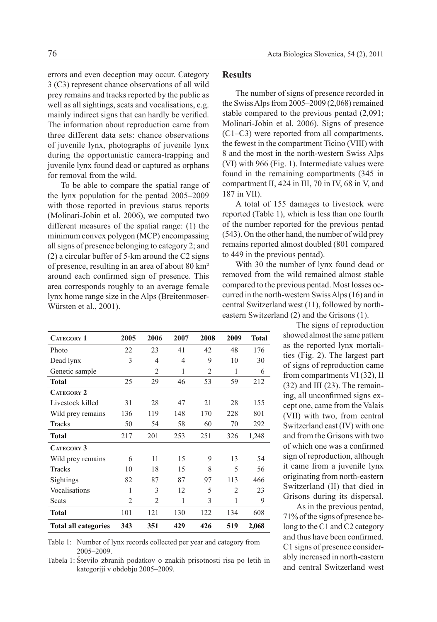errors and even deception may occur. Category 3 (C3) represent chance observations of all wild prey remains and tracks reported by the public as well as all sightings, scats and vocalisations, e.g. mainly indirect signs that can hardly be verified. The information about reproduction came from three different data sets: chance observations of juvenile lynx, photographs of juvenile lynx during the opportunistic camera-trapping and juvenile lynx found dead or captured as orphans for removal from the wild.

To be able to compare the spatial range of the lynx population for the pentad 2005–2009 with those reported in previous status reports (Molinari-Jobin et al. 2006), we computed two different measures of the spatial range: (1) the minimum convex polygon (MCP) encompassing all signs of presence belonging to category 2; and (2) a circular buffer of 5-km around the C2 signs of presence, resulting in an area of about 80 km² around each confirmed sign of presence. This area corresponds roughly to an average female lynx home range size in the Alps (Breitenmoser-Würsten et al., 2001).

### **Results**

The number of signs of presence recorded in the Swiss Alps from 2005–2009 (2,068) remained stable compared to the previous pentad (2,091; Molinari-Jobin et al. 2006). Signs of presence (C1–C3) were reported from all compartments, the fewest in the compartment Ticino (VIII) with 8 and the most in the north-western Swiss Alps (VI) with 966 (Fig. 1). Intermediate values were found in the remaining compartments (345 in compartment II, 424 in III, 70 in IV, 68 in V, and 187 in VII).

A total of 155 damages to livestock were reported (Table 1), which is less than one fourth of the number reported for the previous pentad (543). On the other hand, the number of wild prey remains reported almost doubled (801 compared to 449 in the previous pentad).

With 30 the number of lynx found dead or removed from the wild remained almost stable compared to the previous pentad. Most losses occurred in the north-western Swiss Alps (16) and in central Switzerland west (11), followed by northeastern Switzerland (2) and the Grisons (1).

The signs of reproduction showed almost the same pattern as the reported lynx mortalities (Fig. 2). The largest part of signs of reproduction came from compartments VI (32), II (32) and III (23). The remaining, all unconfirmed signs except one, came from the Valais (VII) with two, from central Switzerland east (IV) with one and from the Grisons with two of which one was a confirmed sign of reproduction, although it came from a juvenile lynx originating from north-eastern Switzerland (II) that died in Grisons during its dispersal.

As in the previous pentad, 71% of the signs of presence belong to the C1 and C2 category and thus have been confirmed. C1 signs of presence considerably increased in north-eastern and central Switzerland west

| <b>CATEGORY 1</b>           | 2005           | 2006           | 2007 | 2008           | 2009           | <b>Total</b> |
|-----------------------------|----------------|----------------|------|----------------|----------------|--------------|
| Photo                       | 22             | 23             | 41   | 42             | 48             | 176          |
| Dead lynx                   | 3              | 4              | 4    | 9              | 10             | 30           |
| Genetic sample              |                | $\overline{2}$ | 1    | $\overline{2}$ | 1              | 6            |
| Total                       | 25             | 29             | 46   | 53             | 59             | 212          |
| <b>CATEGORY 2</b>           |                |                |      |                |                |              |
| Livestock killed            | 31             | 28             | 47   | 21             | 28             | 155          |
| Wild prey remains           | 136            | 119            | 148  | 170            | 228            | 801          |
| Tracks                      | 50             | 54             | 58   | 60             | 70             | 292          |
| <b>Total</b>                | 217            | 201            | 253  | 251            | 326            | 1,248        |
| <b>CATEGORY 3</b>           |                |                |      |                |                |              |
| Wild prey remains           | 6              | 11             | 15   | 9              | 13             | 54           |
| Tracks                      | 10             | 18             | 15   | 8              | 5              | 56           |
| Sightings                   | 82             | 87             | 87   | 97             | 113            | 466          |
| Vocalisations               | 1              | 3              | 12   | 5              | $\overline{2}$ | 23           |
| Scats                       | $\overline{2}$ | $\overline{c}$ | 1    | 3              | 1              | 9            |
| <b>Total</b>                | 101            | 121            | 130  | 122            | 134            | 608          |
| <b>Total all categories</b> | 343            | 351            | 429  | 426            | 519            | 2,068        |

Table 1: Number of lynx records collected per year and category from 2005–2009.

Tabela 1: Število zbranih podatkov o znakih prisotnosti risa po letih in kategoriji v obdobju 2005–2009.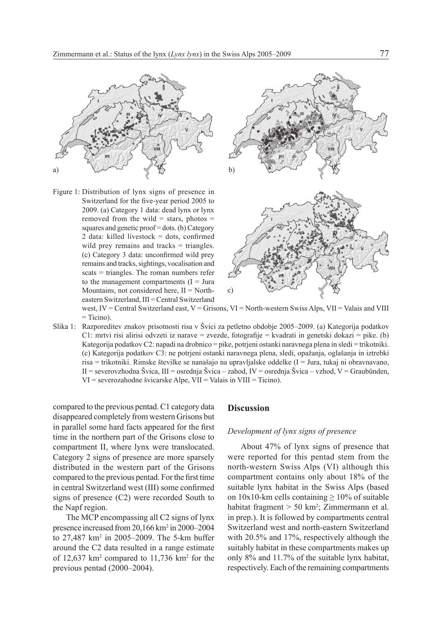

Figure 1: Distribution of lynx signs of presence in Switzerland for the five-year period 2005 to 2009. (a) Category 1 data: dead lynx or lynx removed from the wild  $=$  stars, photos  $=$ squares and genetic proof = dots. (b) Category 2 data: killed livestock = dots, confirmed wild prey remains and tracks = triangles. (c) Category 3 data: unconfirmed wild prey remains and tracks, sightings, vocalisation and scats = triangles. The roman numbers refer to the management compartments  $(I = Jura$ Mountains, not considered here,  $II = North$ eastern Switzerland, III = Central Switzerland



west, IV = Central Switzerland east, V = Grisons, VI = North-western Swiss Alps, VII = Valais and VIII  $=$  Ticino).

Slika 1: Razporeditev znakov prisotnosti risa v Švici za petletno obdobje 2005–2009. (a) Kategorija podatkov C1: mrtvi risi alirisi odvzeti iz narave = zvezde, fotografije = kvadrati in genetski dokazi = pike. (b) Kategorija podatkov C2: napadi na drobnico = pike, potrjeni ostanki naravnega plena in sledi = trikotniki. (c) Kategorija podatkov C3: ne potrjeni ostanki naravnega plena, sledi, opažanja, oglašanja in iztrebki risa = trikotniki. Rimske številke se nanašajo na upravljalske oddelke (I = Jura, tukaj ni obravnavano, II = severovzhodna Švica, III = osrednja Švica – zahod, IV = osrednja Švica – vzhod, V = Graubünden, VI = severozahodne švicarske Alpe, VII = Valais in VIII = Ticino).

compared to the previous pentad. C1 category data disappeared completely from western Grisons but in parallel some hard facts appeared for the first time in the northern part of the Grisons close to compartment II, where lynx were translocated. Category 2 signs of presence are more sparsely distributed in the western part of the Grisons compared to the previous pentad. For the first time in central Switzerland west (III) some confirmed signs of presence (C2) were recorded South to the Napf region.

The MCP encompassing all C2 signs of lynx presence increased from 20,166 km2 in 2000–2004 to 27,487 km2 in 2005–2009. The 5-km buffer around the C2 data resulted in a range estimate of  $12,637 \text{ km}^2$  compared to  $11,736 \text{ km}^2$  for the previous pentad (2000–2004).

## **Discussion**

### *Development of lynx signs of presence*

About 47% of lynx signs of presence that were reported for this pentad stem from the north-western Swiss Alps (VI) although this compartment contains only about 18% of the suitable lynx habitat in the Swiss Alps (based on  $10x10$ -km cells containing  $\geq 10\%$  of suitable habitat fragment > 50 km<sup>2</sup>; Zimmermann et al. in prep.). It is followed by compartments central Switzerland west and north-eastern Switzerland with 20.5% and 17%, respectively although the suitably habitat in these compartments makes up only 8% and 11.7% of the suitable lynx habitat, respectively. Each of the remaining compartments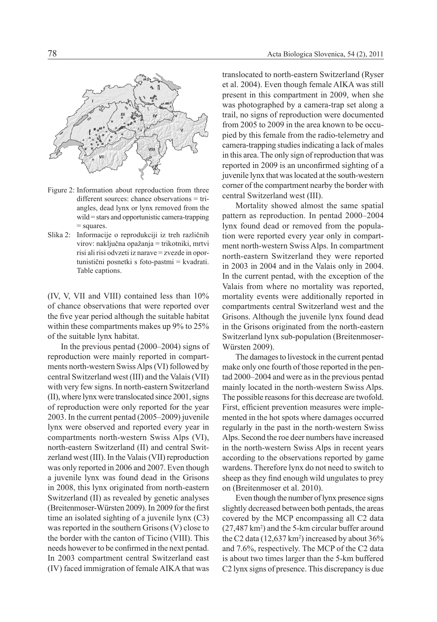

- Figure 2: Information about reproduction from three different sources: chance observations = triangles, dead lynx or lynx removed from the wild = stars and opportunistic camera-trapping = squares.
- Slika 2: Informacije o reprodukciji iz treh različnih virov: naključna opažanja = trikotniki, mrtvi risi ali risi odvzeti iz narave = zvezde in oportunistični posnetki s foto-pastmi = kvadrati. Table captions.

(IV, V, VII and VIII) contained less than 10% of chance observations that were reported over the five year period although the suitable habitat within these compartments makes up 9% to 25% of the suitable lynx habitat.

In the previous pentad (2000–2004) signs of reproduction were mainly reported in compartments north-western Swiss Alps (VI) followed by central Switzerland west (III) and the Valais (VII) with very few signs. In north-eastern Switzerland (II), where lynx were translocated since 2001, signs of reproduction were only reported for the year 2003. In the current pentad (2005–2009) juvenile lynx were observed and reported every year in compartments north-western Swiss Alps (VI), north-eastern Switzerland (II) and central Switzerland west (III). In the Valais (VII) reproduction was only reported in 2006 and 2007. Even though a juvenile lynx was found dead in the Grisons in 2008, this lynx originated from north-eastern Switzerland (II) as revealed by genetic analyses (Breitenmoser-Würsten 2009). In 2009 for the first time an isolated sighting of a juvenile lynx (C3) was reported in the southern Grisons (V) close to the border with the canton of Ticino (VIII). This needs however to be confirmed in the next pentad. In 2003 compartment central Switzerland east (IV) faced immigration of female AIKA that was

translocated to north-eastern Switzerland (Ryser et al. 2004). Even though female AIKA was still present in this compartment in 2009, when she was photographed by a camera-trap set along a trail, no signs of reproduction were documented from 2005 to 2009 in the area known to be occupied by this female from the radio-telemetry and camera-trapping studies indicating a lack of males in this area. The only sign of reproduction that was reported in 2009 is an unconfirmed sighting of a juvenile lynx that was located at the south-western corner of the compartment nearby the border with central Switzerland west (III).

Mortality showed almost the same spatial pattern as reproduction. In pentad 2000–2004 lynx found dead or removed from the population were reported every year only in compartment north-western Swiss Alps. In compartment north-eastern Switzerland they were reported in 2003 in 2004 and in the Valais only in 2004. In the current pentad, with the exception of the Valais from where no mortality was reported, mortality events were additionally reported in compartments central Switzerland west and the Grisons. Although the juvenile lynx found dead in the Grisons originated from the north-eastern Switzerland lynx sub-population (Breitenmoser-Würsten 2009).

The damages to livestock in the current pentad make only one fourth of those reported in the pentad 2000–2004 and were as in the previous pentad mainly located in the north-western Swiss Alps. The possible reasons for this decrease are twofold. First, efficient prevention measures were implemented in the hot spots where damages occurred regularly in the past in the north-western Swiss Alps. Second the roe deer numbers have increased in the north-western Swiss Alps in recent years according to the observations reported by game wardens. Therefore lynx do not need to switch to sheep as they find enough wild ungulates to prey on (Breitenmoser et al. 2010).

Even though the number of lynx presence signs slightly decreased between both pentads, the areas covered by the MCP encompassing all C2 data  $(27,487 \text{ km}^2)$  and the 5-km circular buffer around the C2 data  $(12,637 \text{ km}^2)$  increased by about 36% and 7.6%, respectively. The MCP of the C2 data is about two times larger than the 5-km buffered C2 lynx signs of presence. This discrepancy is due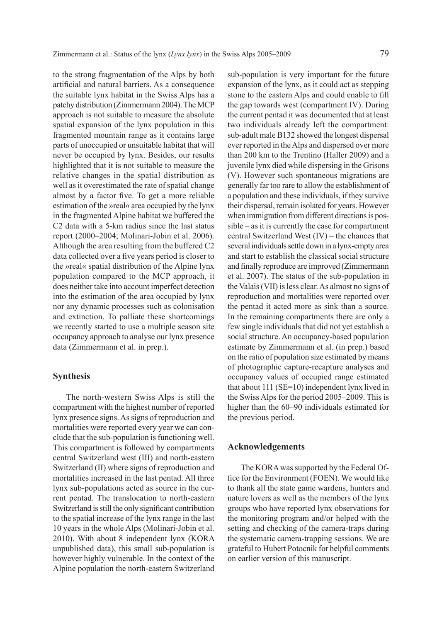to the strong fragmentation of the Alps by both artificial and natural barriers. As a consequence the suitable lynx habitat in the Swiss Alps has a patchy distribution (Zimmermann 2004). The MCP approach is not suitable to measure the absolute spatial expansion of the lynx population in this fragmented mountain range as it contains large parts of unoccupied or unsuitable habitat that will never be occupied by lynx. Besides, our results highlighted that it is not suitable to measure the relative changes in the spatial distribution as well as it overestimated the rate of spatial change almost by a factor five. To get a more reliable estimation of the »real« area occupied by the lynx in the fragmented Alpine habitat we buffered the C2 data with a 5-km radius since the last status report (2000–2004; Molinari-Jobin et al. 2006). Although the area resulting from the buffered C2 data collected over a five years period is closer to the »real« spatial distribution of the Alpine lynx population compared to the MCP approach, it does neither take into account imperfect detection into the estimation of the area occupied by lynx nor any dynamic processes such as colonisation and extinction. To palliate these shortcomings we recently started to use a multiple season site occupancy approach to analyse our lynx presence data (Zimmermann et al. in prep.).

## **Synthesis**

The north-western Swiss Alps is still the compartment with the highest number of reported lynx presence signs. As signs of reproduction and mortalities were reported every year we can conclude that the sub-population is functioning well. This compartment is followed by compartments central Switzerland west (III) and north-eastern Switzerland (II) where signs of reproduction and mortalities increased in the last pentad. All three lynx sub-populations acted as source in the current pentad. The translocation to north-eastern Switzerland is still the only significant contribution to the spatial increase of the lynx range in the last 10 years in the whole Alps (Molinari-Jobin et al. 2010). With about 8 independent lynx (KORA unpublished data), this small sub-population is however highly vulnerable. In the context of the Alpine population the north-eastern Switzerland

sub-population is very important for the future expansion of the lynx, as it could act as stepping stone to the eastern Alps and could enable to fill the gap towards west (compartment IV). During the current pentad it was documented that at least two individuals already left the compartment: sub-adult male B132 showed the longest dispersal ever reported in the Alps and dispersed over more than 200 km to the Trentino (Haller 2009) and a juvenile lynx died while dispersing in the Grisons (V). However such spontaneous migrations are generally far too rare to allow the establishment of a population and these individuals, if they survive their dispersal, remain isolated for years. However when immigration from different directions is possible – as it is currently the case for compartment central Switzerland West (IV) – the chances that several individuals settle down in a lynx-empty area and start to establish the classical social structure and finally reproduce are improved (Zimmermann et al. 2007). The status of the sub-population in the Valais (VII) is less clear. As almost no signs of reproduction and mortalities were reported over the pentad it acted more as sink than a source. In the remaining compartments there are only a few single individuals that did not yet establish a social structure. An occupancy-based population estimate by Zimmermann et al. (in prep.) based on the ratio of population size estimated by means of photographic capture-recapture analyses and occupancy values of occupied range estimated that about 111 (SE=10) independent lynx lived in the Swiss Alps for the period 2005–2009. This is higher than the 60–90 individuals estimated for the previous period.

### **Acknowledgements**

The KORA was supported by the Federal Office for the Environment (FOEN). We would like to thank all the state game wardens, hunters and nature lovers as well as the members of the lynx groups who have reported lynx observations for the monitoring program and/or helped with the setting and checking of the camera-traps during the systematic camera-trapping sessions. We are grateful to Hubert Potocnik for helpful comments on earlier version of this manuscript.